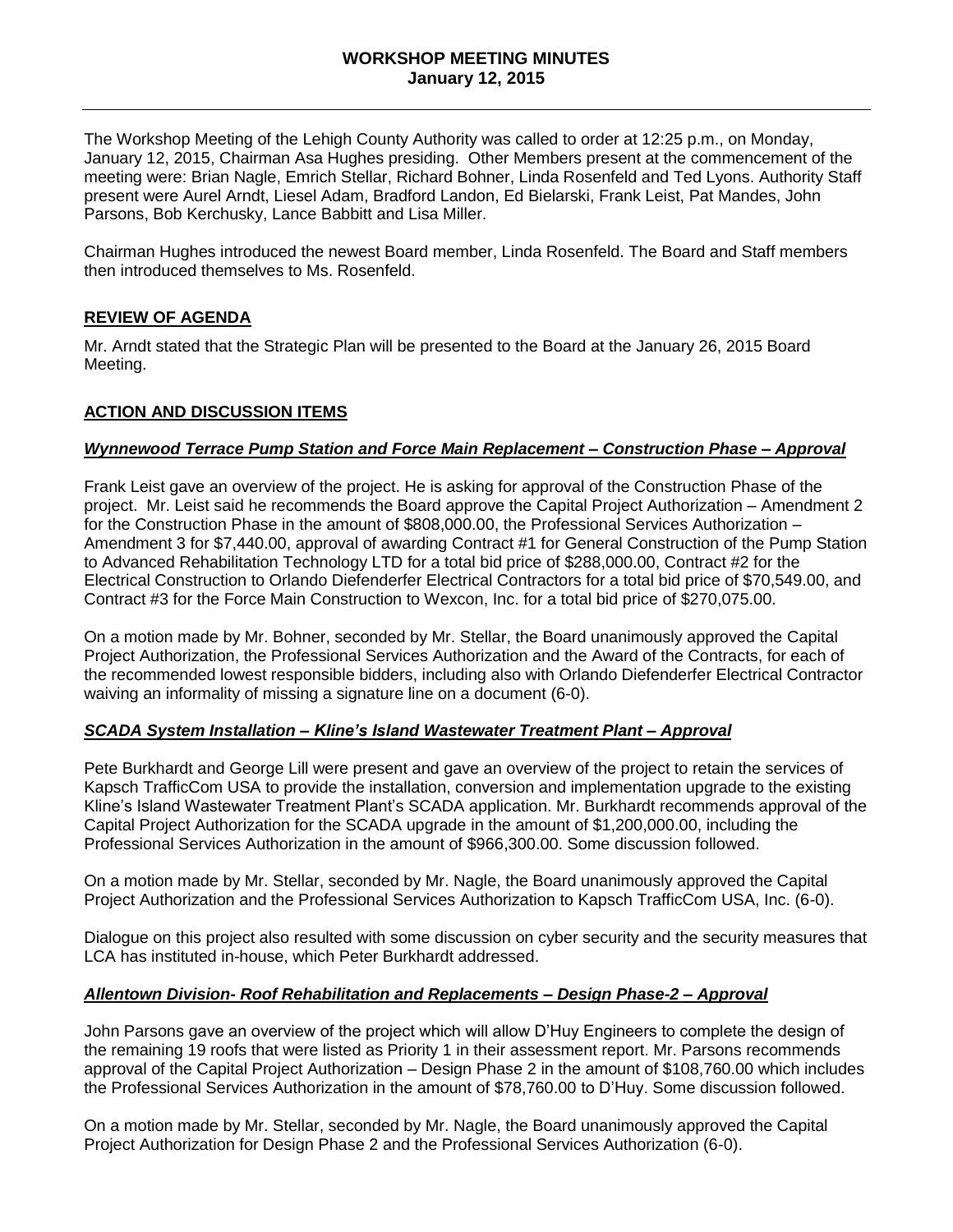#### **WORKSHOP MEETING MINUTES January 12, 2015**

The Workshop Meeting of the Lehigh County Authority was called to order at 12:25 p.m., on Monday, January 12, 2015, Chairman Asa Hughes presiding. Other Members present at the commencement of the meeting were: Brian Nagle, Emrich Stellar, Richard Bohner, Linda Rosenfeld and Ted Lyons. Authority Staff present were Aurel Arndt, Liesel Adam, Bradford Landon, Ed Bielarski, Frank Leist, Pat Mandes, John Parsons, Bob Kerchusky, Lance Babbitt and Lisa Miller.

Chairman Hughes introduced the newest Board member, Linda Rosenfeld. The Board and Staff members then introduced themselves to Ms. Rosenfeld.

## **REVIEW OF AGENDA**

Mr. Arndt stated that the Strategic Plan will be presented to the Board at the January 26, 2015 Board Meeting.

#### **ACTION AND DISCUSSION ITEMS**

## *Wynnewood Terrace Pump Station and Force Main Replacement – Construction Phase – Approval*

Frank Leist gave an overview of the project. He is asking for approval of the Construction Phase of the project. Mr. Leist said he recommends the Board approve the Capital Project Authorization – Amendment 2 for the Construction Phase in the amount of \$808,000.00, the Professional Services Authorization – Amendment 3 for \$7,440.00, approval of awarding Contract #1 for General Construction of the Pump Station to Advanced Rehabilitation Technology LTD for a total bid price of \$288,000.00, Contract #2 for the Electrical Construction to Orlando Diefenderfer Electrical Contractors for a total bid price of \$70,549.00, and Contract #3 for the Force Main Construction to Wexcon, Inc. for a total bid price of \$270,075.00.

On a motion made by Mr. Bohner, seconded by Mr. Stellar, the Board unanimously approved the Capital Project Authorization, the Professional Services Authorization and the Award of the Contracts, for each of the recommended lowest responsible bidders, including also with Orlando Diefenderfer Electrical Contractor waiving an informality of missing a signature line on a document (6-0).

#### *SCADA System Installation – Kline's Island Wastewater Treatment Plant – Approval*

Pete Burkhardt and George Lill were present and gave an overview of the project to retain the services of Kapsch TrafficCom USA to provide the installation, conversion and implementation upgrade to the existing Kline's Island Wastewater Treatment Plant's SCADA application. Mr. Burkhardt recommends approval of the Capital Project Authorization for the SCADA upgrade in the amount of \$1,200,000.00, including the Professional Services Authorization in the amount of \$966,300.00. Some discussion followed.

On a motion made by Mr. Stellar, seconded by Mr. Nagle, the Board unanimously approved the Capital Project Authorization and the Professional Services Authorization to Kapsch TrafficCom USA, Inc. (6-0).

Dialogue on this project also resulted with some discussion on cyber security and the security measures that LCA has instituted in-house, which Peter Burkhardt addressed.

#### *Allentown Division- Roof Rehabilitation and Replacements – Design Phase-2 – Approval*

John Parsons gave an overview of the project which will allow D'Huy Engineers to complete the design of the remaining 19 roofs that were listed as Priority 1 in their assessment report. Mr. Parsons recommends approval of the Capital Project Authorization – Design Phase 2 in the amount of \$108,760.00 which includes the Professional Services Authorization in the amount of \$78,760.00 to D'Huy. Some discussion followed.

On a motion made by Mr. Stellar, seconded by Mr. Nagle, the Board unanimously approved the Capital Project Authorization for Design Phase 2 and the Professional Services Authorization (6-0).